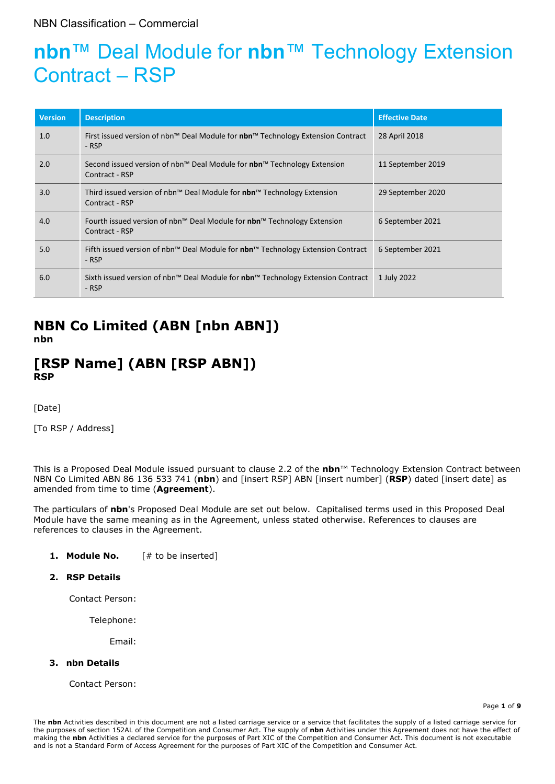# **nbn**™ Deal Module for **nbn**™ Technology Extension Contract – RSP

| <b>Version</b> | <b>Description</b>                                                                                                | <b>Effective Date</b> |  |
|----------------|-------------------------------------------------------------------------------------------------------------------|-----------------------|--|
| 1.0            | First issued version of nbn™ Deal Module for nbn™ Technology Extension Contract<br>- RSP                          | 28 April 2018         |  |
| 2.0            | Second issued version of nbn™ Deal Module for nbn™ Technology Extension<br>Contract - RSP                         | 11 September 2019     |  |
| 3.0            | Third issued version of nbn <sup>™</sup> Deal Module for nbn™ Technology Extension<br>Contract - RSP              | 29 September 2020     |  |
| 4.0            | Fourth issued version of nbn <sup>™</sup> Deal Module for nbn <sup>™</sup> Technology Extension<br>Contract - RSP | 6 September 2021      |  |
| 5.0            | Fifth issued version of nbn <sup>™</sup> Deal Module for nbn <sup>™</sup> Technology Extension Contract<br>- RSP  | 6 September 2021      |  |
| 6.0            | Sixth issued version of nbn <sup>™</sup> Deal Module for nbn <sup>™</sup> Technology Extension Contract<br>- RSP  | 1 July 2022           |  |

## **NBN Co Limited (ABN [nbn ABN]) nbn**

## **[RSP Name] (ABN [RSP ABN]) RSP**

[Date]

[To RSP / Address]

This is a Proposed Deal Module issued pursuant to clause 2.2 of the **nbn**™ Technology Extension Contract between NBN Co Limited ABN 86 136 533 741 (**nbn**) and [insert RSP] ABN [insert number] (**RSP**) dated [insert date] as amended from time to time (**Agreement**).

The particulars of **nbn**'s Proposed Deal Module are set out below. Capitalised terms used in this Proposed Deal Module have the same meaning as in the Agreement, unless stated otherwise. References to clauses are references to clauses in the Agreement.

#### **1. Module No.** [# to be inserted]

#### **2. RSP Details**

Contact Person:

Telephone:

Email:

#### **3. nbn Details**

Contact Person:

Page **1** of **9**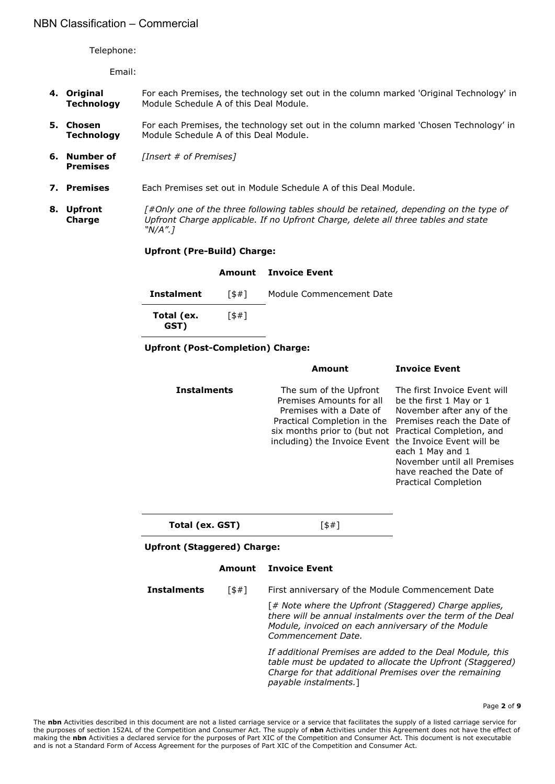Telephone:

Email:

- **4. Original Technology** For each Premises, the technology set out in the column marked 'Original Technology' in Module Schedule A of this Deal Module.
- **5. Chosen Technology** For each Premises, the technology set out in the column marked 'Chosen Technology' in Module Schedule A of this Deal Module.
- **6. Number of Premises** *[Insert # of Premises]*
- **7. Premises** Each Premises set out in Module Schedule A of this Deal Module.
- **8. Upfront Charge** *[#Only one of the three following tables should be retained, depending on the type of Upfront Charge applicable. If no Upfront Charge, delete all three tables and state "N/A".]*

#### **Upfront (Pre-Build) Charge:**

|                    |       | <b>Amount</b> Invoice Event |
|--------------------|-------|-----------------------------|
| Instalment         | [\$#] | Module Commencement Date    |
| Total (ex.<br>GST) | 5#1   |                             |

#### **Upfront (Post-Completion) Charge:**

|                    | Amount                                                                                                                                                                                                                           | <b>Invoice Event</b>                                                                                                                                                                                                             |
|--------------------|----------------------------------------------------------------------------------------------------------------------------------------------------------------------------------------------------------------------------------|----------------------------------------------------------------------------------------------------------------------------------------------------------------------------------------------------------------------------------|
| <b>Instalments</b> | The sum of the Upfront<br>Premises Amounts for all<br>Premises with a Date of<br>Practical Completion in the<br>six months prior to (but not Practical Completion, and<br>including) the Invoice Event the Invoice Event will be | The first Invoice Event will<br>be the first 1 May or 1<br>November after any of the<br>Premises reach the Date of<br>each 1 May and 1<br>November until all Premises<br>have reached the Date of<br><b>Practical Completion</b> |
| Total (ex. GST)    | 5#1                                                                                                                                                                                                                              |                                                                                                                                                                                                                                  |

#### **Upfront (Staggered) Charge:**

#### **Amount Invoice Event**

[*# Note where the Upfront (Staggered) Charge applies, there will be annual instalments over the term of the Deal Module, invoiced on each anniversary of the Module Commencement Date.*

*If additional Premises are added to the Deal Module, this table must be updated to allocate the Upfront (Staggered) Charge for that additional Premises over the remaining payable instalments.*]

**Instalments**  $[$ \$#] First anniversary of the Module Commencement Date

The nbn Activities described in this document are not a listed carriage service or a service that facilitates the supply of a listed carriage service for the purposes of section 152AL of the Competition and Consumer Act. The supply of **nbn** Activities under this Agreement does not have the effect of making the **nbn** Activities a declared service for the purposes of Part XIC of the Competition and Consumer Act. This document is not executable making the **nbn** Activities a declared service for the purposes of Part XIC o and is not a Standard Form of Access Agreement for the purposes of Part XIC of the Competition and Consumer Act.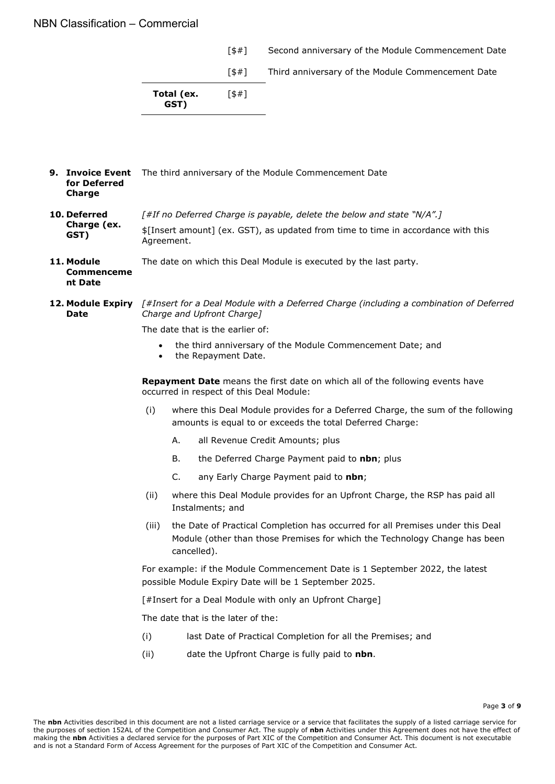[\$#] Second anniversary of the Module Commencement Date

[\$#] Third anniversary of the Module Commencement Date

| Total (ex.<br>GST) | 5#1 |
|--------------------|-----|
|                    |     |

- **9. Invoice Event** The third anniversary of the Module Commencement Date **for Deferred Charge**
- <span id="page-2-0"></span>**10. Deferred Charge (ex. GST)** *[#If no Deferred Charge is payable, delete the below and state "N/A".]* \$[Insert amount] (ex. GST), as updated from time to time in accordance with this Agreement.
- **11. Module Commenceme nt Date** The date on which this Deal Module is executed by the last party.
- **12. Module Expiry**  *[#Insert for a Deal Module with a Deferred Charge (including a combination of Deferred*  **Date** *Charge and Upfront Charge]*

The date that is the earlier of:

- the third anniversary of the Module Commencement Date; and
- the Repayment Date.

**Repayment Date** means the first date on which all of the following events have occurred in respect of this Deal Module:

- (i) where this Deal Module provides for a Deferred Charge, the sum of the following amounts is equal to or exceeds the total Deferred Charge:
	- A. all Revenue Credit Amounts; plus
	- B. the Deferred Charge Payment paid to **nbn**; plus
	- C. any Early Charge Payment paid to **nbn**;
- (ii) where this Deal Module provides for an Upfront Charge, the RSP has paid all Instalments; and
- (iii) the Date of Practical Completion has occurred for all Premises under this Deal Module (other than those Premises for which the Technology Change has been cancelled).

For example: if the Module Commencement Date is 1 September 2022, the latest possible Module Expiry Date will be 1 September 2025.

[#Insert for a Deal Module with only an Upfront Charge]

The date that is the later of the:

- (i) last Date of Practical Completion for all the Premises; and
- (ii) date the Upfront Charge is fully paid to **nbn**.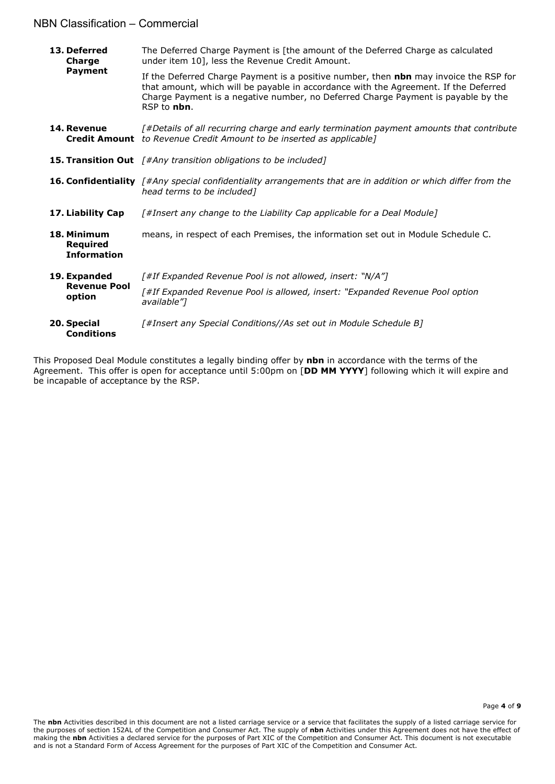|             | 13. Deferred<br>Charge                        | The Deferred Charge Payment is [the amount of the Deferred Charge as calculated<br>under item 10], less the Revenue Credit Amount.                                                                                                                                                |  |  |  |  |
|-------------|-----------------------------------------------|-----------------------------------------------------------------------------------------------------------------------------------------------------------------------------------------------------------------------------------------------------------------------------------|--|--|--|--|
|             | <b>Payment</b>                                | If the Deferred Charge Payment is a positive number, then nbn may invoice the RSP for<br>that amount, which will be payable in accordance with the Agreement. If the Deferred<br>Charge Payment is a negative number, no Deferred Charge Payment is payable by the<br>RSP to nbn. |  |  |  |  |
| 14. Revenue |                                               | [#Details of all recurring charge and early termination payment amounts that contribute<br><b>Credit Amount</b> to Revenue Credit Amount to be inserted as applicable]                                                                                                            |  |  |  |  |
|             |                                               | <b>15. Transition Out</b> $[#Any transition obligations to be included]$                                                                                                                                                                                                          |  |  |  |  |
|             |                                               | 16. Confidentiality [#Any special confidentiality arrangements that are in addition or which differ from the<br>head terms to be included]                                                                                                                                        |  |  |  |  |
|             | 17. Liability Cap                             | [#Insert any change to the Liability Cap applicable for a Deal Module]                                                                                                                                                                                                            |  |  |  |  |
|             | 18. Minimum<br>Required<br><b>Information</b> | means, in respect of each Premises, the information set out in Module Schedule C.                                                                                                                                                                                                 |  |  |  |  |
|             | 19. Expanded                                  | [#If Expanded Revenue Pool is not allowed, insert: "N/A"]                                                                                                                                                                                                                         |  |  |  |  |
|             | <b>Revenue Pool</b><br>option                 | [#If Expanded Revenue Pool is allowed, insert: "Expanded Revenue Pool option<br>available"]                                                                                                                                                                                       |  |  |  |  |
|             | 20. Special<br><b>Conditions</b>              | [#Insert any Special Conditions//As set out in Module Schedule B]                                                                                                                                                                                                                 |  |  |  |  |

This Proposed Deal Module constitutes a legally binding offer by **nbn** in accordance with the terms of the Agreement. This offer is open for acceptance until 5:00pm on [**DD MM YYYY**] following which it will expire and be incapable of acceptance by the RSP.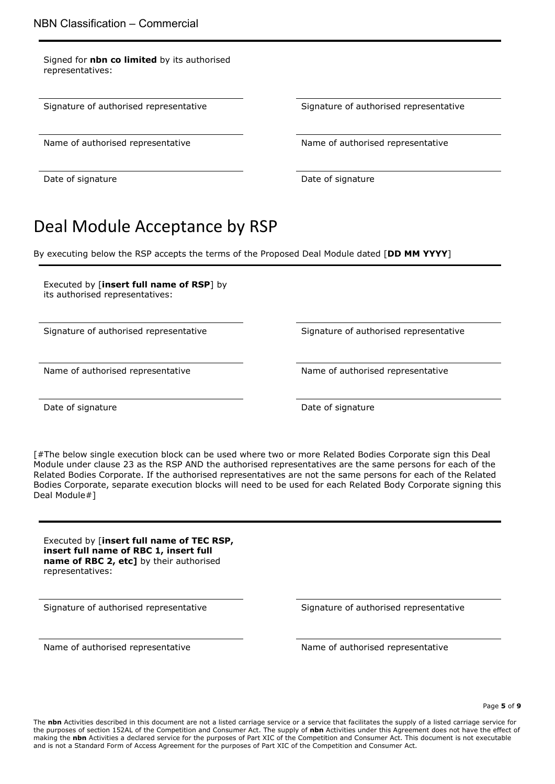Signed for **nbn co limited** by its authorised representatives:

Name of authorised representative Name of authorised representative

Signature of authorised representative Signature of authorised representative

Date of signature Date of signature Date of signature

## Deal Module Acceptance by RSP

By executing below the RSP accepts the terms of the Proposed Deal Module dated [**DD MM YYYY**]

Executed by [**insert full name of RSP**] by its authorised representatives:

Signature of authorised representative Signature of authorised representative

Name of authorised representative Name of authorised representative

Date of signature **Date of signature** Date of signature

[#The below single execution block can be used where two or more Related Bodies Corporate sign this Deal Module under clause 23 as the RSP AND the authorised representatives are the same persons for each of the Related Bodies Corporate. If the authorised representatives are not the same persons for each of the Related Bodies Corporate, separate execution blocks will need to be used for each Related Body Corporate signing this Deal Module#]

Executed by [**insert full name of TEC RSP, insert full name of RBC 1, insert full name of RBC 2, etc]** by their authorised representatives:

Signature of authorised representative Signature of authorised representative

Name of authorised representative Name of authorised representative

Page **5** of **9**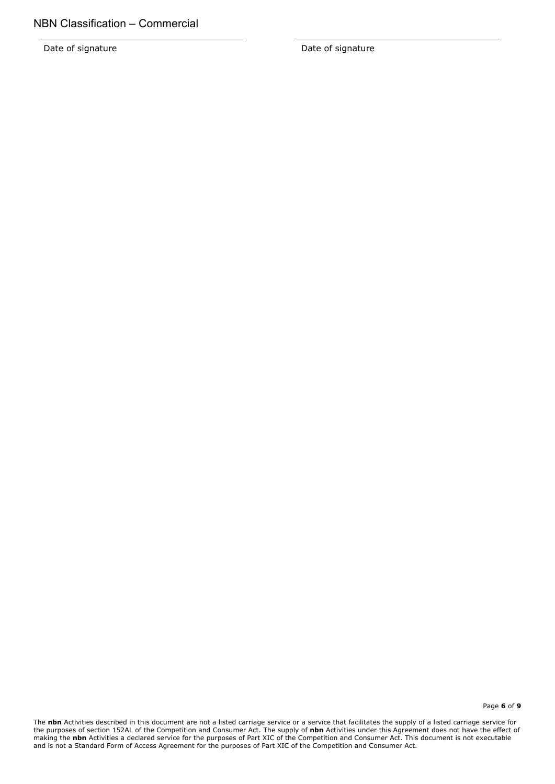Date of signature Date of signature

Page **6** of **9**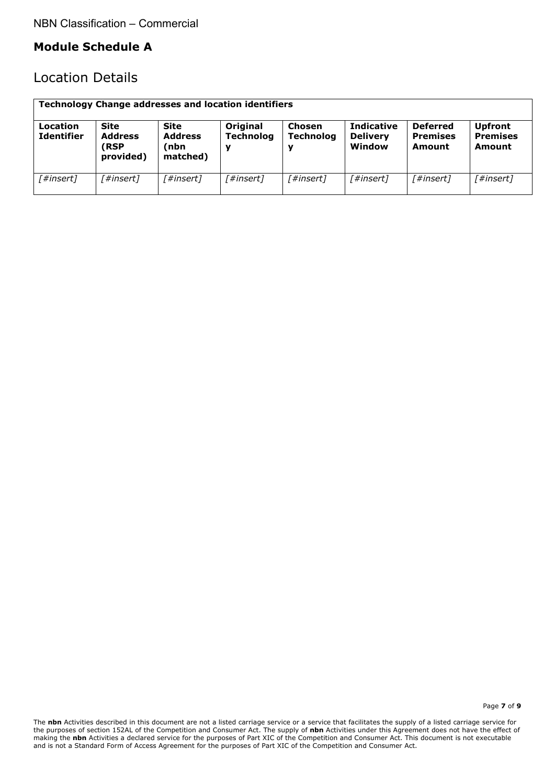## **Module Schedule A**

## Location Details

| <b>Technology Change addresses and location identifiers</b> |                                                          |                                                   |                              |                                   |                                                |                                              |                                             |
|-------------------------------------------------------------|----------------------------------------------------------|---------------------------------------------------|------------------------------|-----------------------------------|------------------------------------------------|----------------------------------------------|---------------------------------------------|
| Location<br><b>Identifier</b>                               | <b>Site</b><br><b>Address</b><br><b>RSP</b><br>provided) | <b>Site</b><br><b>Address</b><br>nbn)<br>matched) | Original<br><b>Technolog</b> | <b>Chosen</b><br><b>Technolog</b> | <b>Indicative</b><br><b>Delivery</b><br>Window | <b>Deferred</b><br><b>Premises</b><br>Amount | <b>Upfront</b><br><b>Premises</b><br>Amount |
| [#insert]                                                   | 「#insert]                                                | [#insert]                                         | 「#insert]                    | 「#insert]                         | 「#insert]                                      | 「#insert]                                    | [#insert]                                   |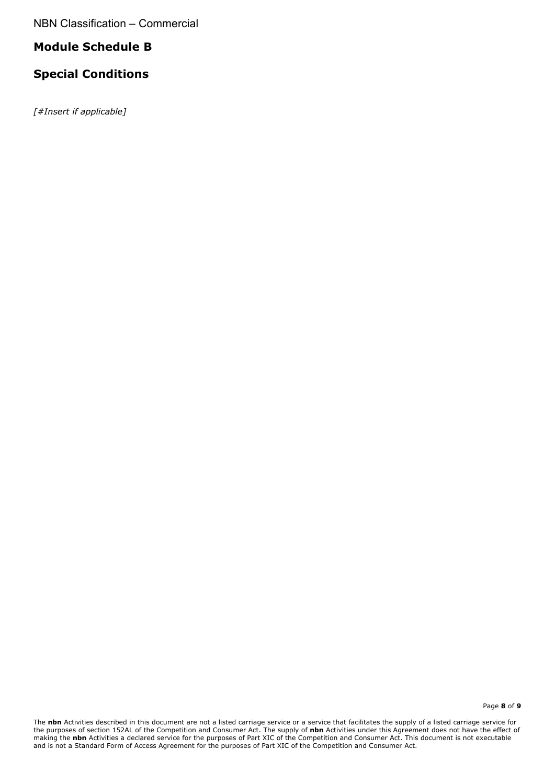## **Module Schedule B**

## **Special Conditions**

*[#Insert if applicable]*

Page **8** of **9**